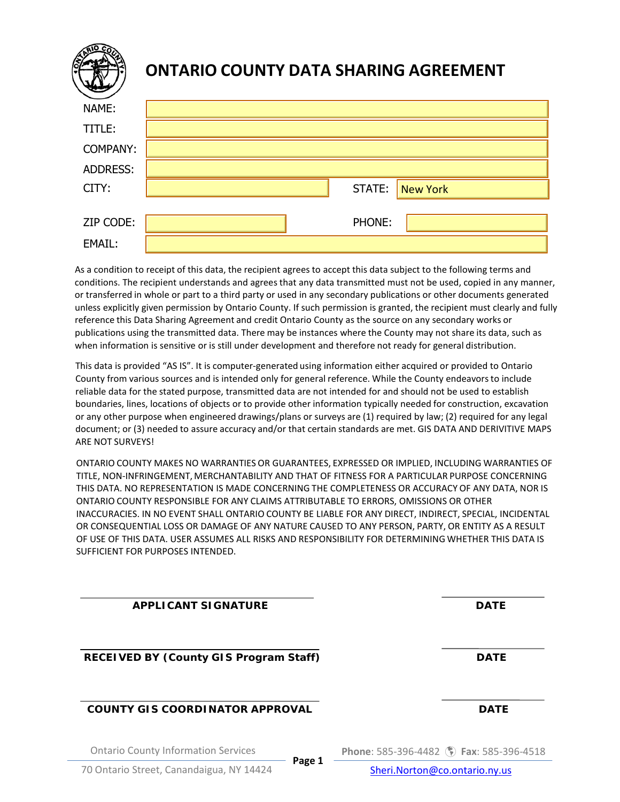| lŝ              | <b>ONTARIO COUNTY DATA SHARING AGREEMENT</b> |
|-----------------|----------------------------------------------|
| NAME:           |                                              |
| TITLE:          |                                              |
| <b>COMPANY:</b> |                                              |
| <b>ADDRESS:</b> |                                              |
| CITY:           | STATE:<br><b>New York</b>                    |
|                 |                                              |
| ZIP CODE:       | PHONE:                                       |
| EMAIL:          |                                              |

As a condition to receipt of this data, the recipient agrees to accept this data subject to the following terms and conditions. The recipient understands and agrees that any data transmitted must not be used, copied in any manner, or transferred in whole or part to a third party or used in any secondary publications or other documents generated unless explicitly given permission by Ontario County. If such permission is granted, the recipient must clearly and fully reference this Data Sharing Agreement and credit Ontario County as the source on any secondary works or publications using the transmitted data. There may be instances where the County may not share its data, such as when information is sensitive or is still under development and therefore not ready for general distribution.

This data is provided "AS IS". It is computer-generated using information either acquired or provided to Ontario County from various sources and is intended only for general reference. While the County endeavorsto include reliable data for the stated purpose, transmitted data are not intended for and should not be used to establish boundaries, lines, locations of objects or to provide other information typically needed for construction, excavation or any other purpose when engineered drawings/plans or surveys are (1) required by law; (2) required for any legal document; or (3) needed to assure accuracy and/or that certain standards are met. GIS DATA AND DERIVITIVE MAPS ARE NOT SURVEYS!

ONTARIO COUNTY MAKES NO WARRANTIES OR GUARANTEES, EXPRESSED OR IMPLIED, INCLUDING WARRANTIES OF TITLE, NON-INFRINGEMENT, MERCHANTABILITY AND THAT OF FITNESS FOR A PARTICULAR PURPOSE CONCERNING THIS DATA. NO REPRESENTATION IS MADE CONCERNING THE COMPLETENESS OR ACCURACY OF ANY DATA, NOR IS ONTARIO COUNTY RESPONSIBLE FOR ANY CLAIMS ATTRIBUTABLE TO ERRORS, OMISSIONS OR OTHER INACCURACIES. IN NO EVENT SHALL ONTARIO COUNTY BE LIABLE FOR ANY DIRECT, INDIRECT, SPECIAL, INCIDENTAL OR CONSEQUENTIAL LOSS OR DAMAGE OF ANY NATURE CAUSED TO ANY PERSON, PARTY, OR ENTITY AS A RESULT OF USE OF THIS DATA. USER ASSUMES ALL RISKS AND RESPONSIBILITY FOR DETERMINING WHETHER THIS DATA IS SUFFICIENT FOR PURPOSES INTENDED.

**APPLICANT SIGNATURE DATE RECEIVED BY (County GIS Program Staff) DATE COUNTY GIS COORDINATOR APPROVAL DATE**

Ontario County Information Services

**Phone**: 585-396-4482 **Fax**: 585-396-4518